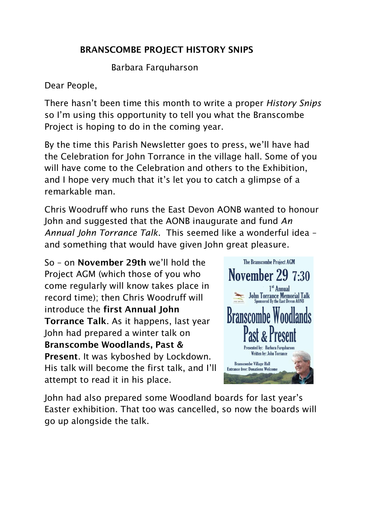## BRANSCOMBE PROJECT HISTORY SNIPS

Barbara Farquharson

Dear People,

There hasn't been time this month to write a proper *History Snips*  so I'm using this opportunity to tell you what the Branscombe Project is hoping to do in the coming year.

By the time this Parish Newsletter goes to press, we'll have had the Celebration for John Torrance in the village hall. Some of you will have come to the Celebration and others to the Exhibition, and I hope very much that it's let you to catch a glimpse of a remarkable man.

Chris Woodruff who runs the East Devon AONB wanted to honour John and suggested that the AONB inaugurate and fund *An Annual John Torrance Talk.* This seemed like a wonderful idea – and something that would have given John great pleasure.

So – on November 29th we'll hold the Project AGM (which those of you who come regularly will know takes place in record time); then Chris Woodruff will introduce the first Annual John Torrance Talk. As it happens, last year John had prepared a winter talk on Branscombe Woodlands, Past & Present. It was kyboshed by Lockdown. His talk will become the first talk, and I'll attempt to read it in his place.



John had also prepared some Woodland boards for last year's Easter exhibition. That too was cancelled, so now the boards will go up alongside the talk.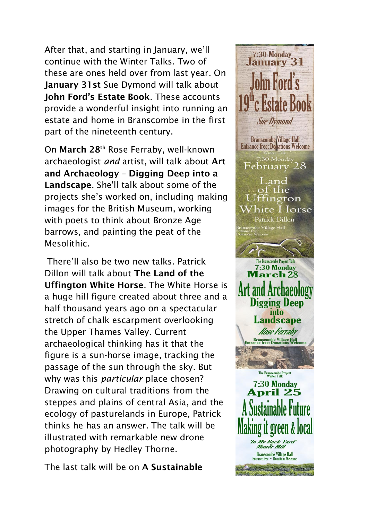After that, and starting in January, we'll continue with the Winter Talks. Two of these are ones held over from last year. On January 31st Sue Dymond will talk about John Ford's Estate Book. These accounts provide a wonderful insight into running an estate and home in Branscombe in the first part of the nineteenth century.

On March 28th Rose Ferraby, well-known archaeologist *and* artist, will talk about Art and Archaeology – Digging Deep into a Landscape. She'll talk about some of the projects she's worked on, including making images for the British Museum, working with poets to think about Bronze Age barrows, and painting the peat of the Mesolithic.

There'll also be two new talks. Patrick Dillon will talk about The Land of the Uffington White Horse. The White Horse is a huge hill figure created about three and a half thousand years ago on a spectacular stretch of chalk escarpment overlooking the Upper Thames Valley. Current archaeological thinking has it that the figure is a sun-horse image, tracking the passage of the sun through the sky. But why was this *particular* place chosen? Drawing on cultural traditions from the steppes and plains of central Asia, and the ecology of pasturelands in Europe, Patrick thinks he has an answer. The talk will be illustrated with remarkable new drone photography by Hedley Thorne.

The last talk will be on A Sustainable